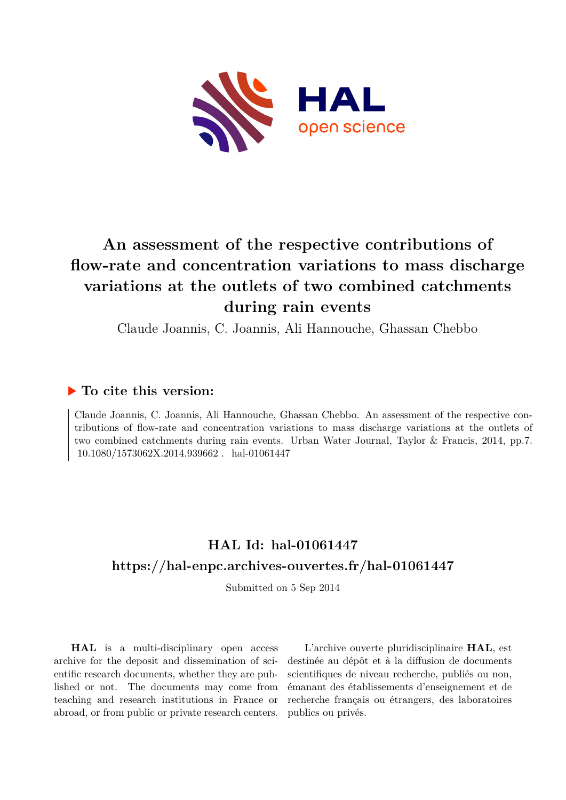

# **An assessment of the respective contributions of flow-rate and concentration variations to mass discharge variations at the outlets of two combined catchments during rain events**

Claude Joannis, C. Joannis, Ali Hannouche, Ghassan Chebbo

# **To cite this version:**

Claude Joannis, C. Joannis, Ali Hannouche, Ghassan Chebbo. An assessment of the respective contributions of flow-rate and concentration variations to mass discharge variations at the outlets of two combined catchments during rain events. Urban Water Journal, Taylor & Francis, 2014, pp.7.  $f10.1080/1573062X.2014.939662$ . hal-01061447

# **HAL Id: hal-01061447 <https://hal-enpc.archives-ouvertes.fr/hal-01061447>**

Submitted on 5 Sep 2014

**HAL** is a multi-disciplinary open access archive for the deposit and dissemination of scientific research documents, whether they are published or not. The documents may come from teaching and research institutions in France or abroad, or from public or private research centers.

L'archive ouverte pluridisciplinaire **HAL**, est destinée au dépôt et à la diffusion de documents scientifiques de niveau recherche, publiés ou non, émanant des établissements d'enseignement et de recherche français ou étrangers, des laboratoires publics ou privés.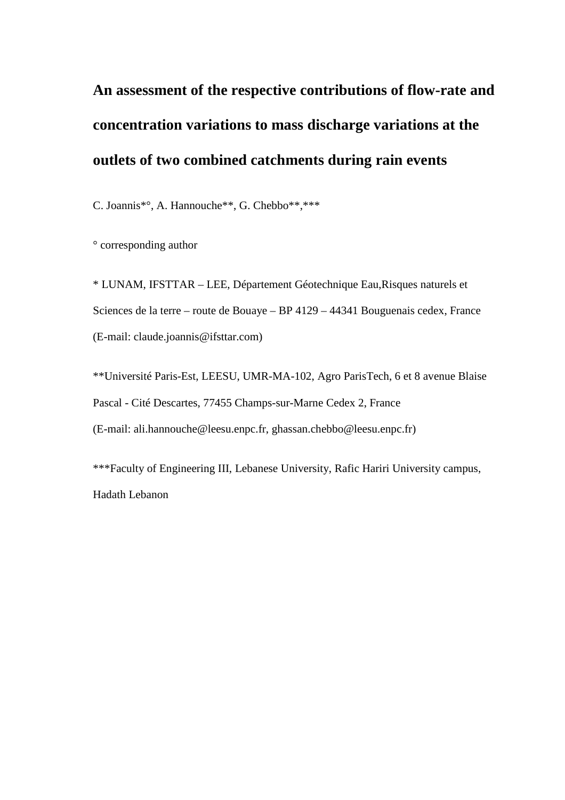# **An assessment of the respective contributions of flow-rate and concentration variations to mass discharge variations at the outlets of two combined catchments during rain events**

C. Joannis\*°, A. Hannouche\*\*, G. Chebbo\*\*,\*\*\*

° corresponding author

\* LUNAM, IFSTTAR – LEE, Département Géotechnique Eau,Risques naturels et Sciences de la terre – route de Bouaye – BP 4129 – 44341 Bouguenais cedex, France (E-mail: claude.joannis@ifsttar.com)

\*\*Université Paris-Est, LEESU, UMR-MA-102, Agro ParisTech, 6 et 8 avenue Blaise Pascal - Cité Descartes, 77455 Champs-sur-Marne Cedex 2, France (E-mail: ali.hannouche@leesu.enpc.fr, ghassan.chebbo@leesu.enpc.fr)

\*\*\*Faculty of Engineering III, Lebanese University, Rafic Hariri University campus, Hadath Lebanon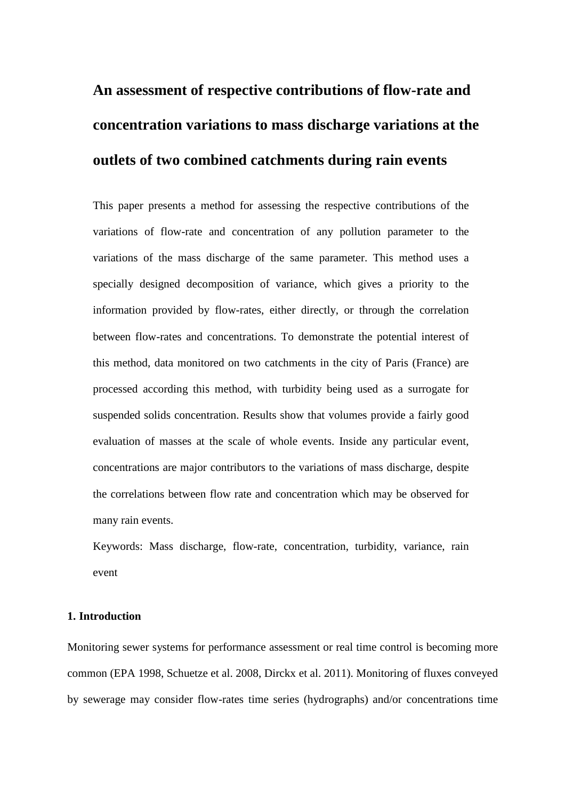# **An assessment of respective contributions of flow-rate and concentration variations to mass discharge variations at the outlets of two combined catchments during rain events**

This paper presents a method for assessing the respective contributions of the variations of flow-rate and concentration of any pollution parameter to the variations of the mass discharge of the same parameter. This method uses a specially designed decomposition of variance, which gives a priority to the information provided by flow-rates, either directly, or through the correlation between flow-rates and concentrations. To demonstrate the potential interest of this method, data monitored on two catchments in the city of Paris (France) are processed according this method, with turbidity being used as a surrogate for suspended solids concentration. Results show that volumes provide a fairly good evaluation of masses at the scale of whole events. Inside any particular event, concentrations are major contributors to the variations of mass discharge, despite the correlations between flow rate and concentration which may be observed for many rain events.

Keywords: Mass discharge, flow-rate, concentration, turbidity, variance, rain event

# **1. Introduction**

Monitoring sewer systems for performance assessment or real time control is becoming more common (EPA 1998, Schuetze et al. 2008, Dirckx et al. 2011). Monitoring of fluxes conveyed by sewerage may consider flow-rates time series (hydrographs) and/or concentrations time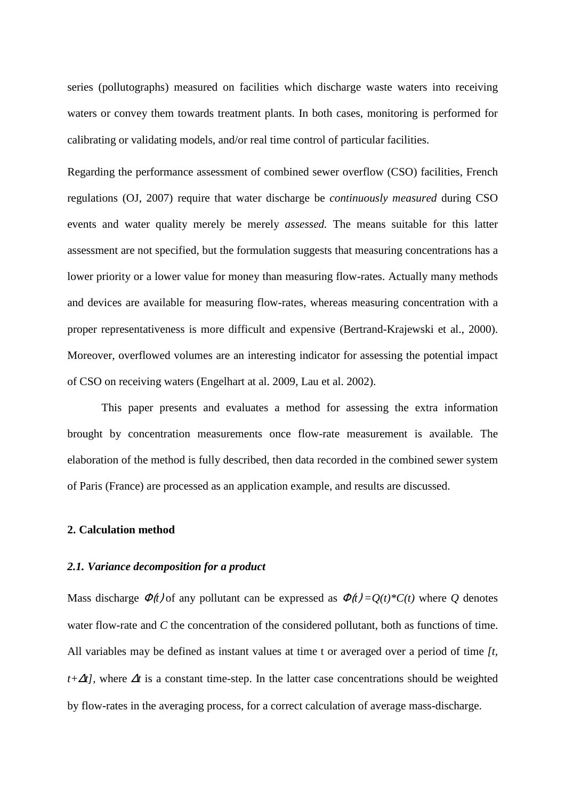series (pollutographs) measured on facilities which discharge waste waters into receiving waters or convey them towards treatment plants. In both cases, monitoring is performed for calibrating or validating models, and/or real time control of particular facilities.

Regarding the performance assessment of combined sewer overflow (CSO) facilities, French regulations (OJ, 2007) require that water discharge be *continuously measured* during CSO events and water quality merely be merely *assessed.* The means suitable for this latter assessment are not specified, but the formulation suggests that measuring concentrations has a lower priority or a lower value for money than measuring flow-rates. Actually many methods and devices are available for measuring flow-rates, whereas measuring concentration with a proper representativeness is more difficult and expensive (Bertrand-Krajewski et al., 2000). Moreover, overflowed volumes are an interesting indicator for assessing the potential impact of CSO on receiving waters (Engelhart at al. 2009, Lau et al. 2002).

This paper presents and evaluates a method for assessing the extra information brought by concentration measurements once flow-rate measurement is available. The elaboration of the method is fully described, then data recorded in the combined sewer system of Paris (France) are processed as an application example, and results are discussed.

## **2. Calculation method**

# *2.1. Variance decomposition for a product*

Mass discharge  $\Phi(t)$  of any pollutant can be expressed as  $\Phi(t) = Q(t)^*C(t)$  where Q denotes water flow-rate and *C* the concentration of the considered pollutant, both as functions of time. All variables may be defined as instant values at time t or averaged over a period of time *[t, t*+∆*t*], where ∆*t* is a constant time-step. In the latter case concentrations should be weighted by flow-rates in the averaging process, for a correct calculation of average mass-discharge.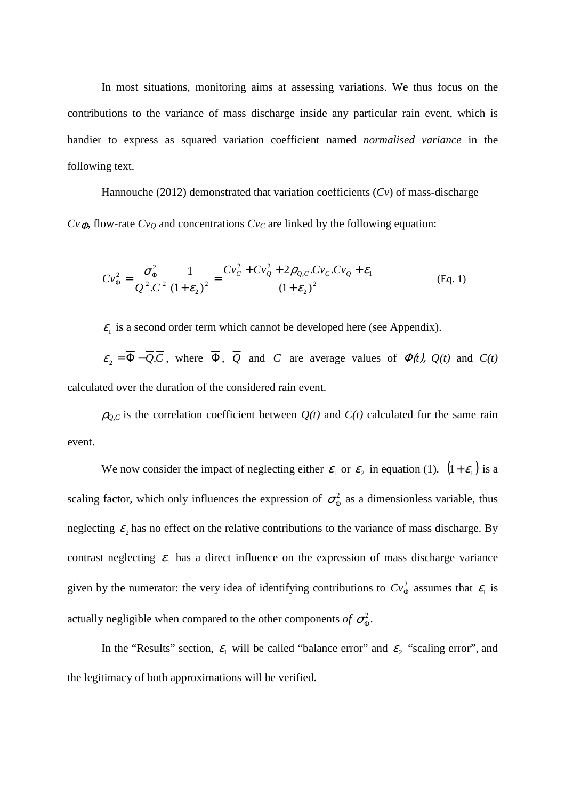In most situations, monitoring aims at assessing variations. We thus focus on the contributions to the variance of mass discharge inside any particular rain event, which is handier to express as squared variation coefficient named *normalised variance* in the following text.

Hannouche (2012) demonstrated that variation coefficients (*Cv*) of mass-discharge  $Cv_{\Phi}$ , flow-rate  $Cv_{Q}$  and concentrations  $Cv_{C}$  are linked by the following equation:

$$
Cv_{\Phi}^{2} = \frac{\sigma_{\Phi}^{2}}{\overline{Q}^{2} \cdot \overline{C}^{2}} \frac{1}{(1+\varepsilon_{2})^{2}} = \frac{Cv_{C}^{2} + Cv_{Q}^{2} + 2\rho_{Q,C}.Cv_{C}.Cv_{Q} + \varepsilon_{1}}{(1+\varepsilon_{2})^{2}}
$$
(Eq. 1)

 $\varepsilon_1$  is a second order term which cannot be developed here (see Appendix).

 $\varepsilon_2 = \overline{\Phi} - \overline{Q} \cdot \overline{C}$ , where  $\overline{\Phi}$ ,  $\overline{Q}$  and  $\overline{C}$  are average values of  $\Phi(t)$ ,  $Q(t)$  and  $C(t)$ calculated over the duration of the considered rain event.

 $\rho_{0,C}$  is the correlation coefficient between  $Q(t)$  and  $C(t)$  calculated for the same rain event.

We now consider the impact of neglecting either  $\varepsilon_1$  or  $\varepsilon_2$  in equation (1).  $(1 + \varepsilon_1)$  is a scaling factor, which only influences the expression of  $\sigma_{\Phi}^2$  as a dimensionless variable, thus neglecting  $\varepsilon_2$  has no effect on the relative contributions to the variance of mass discharge. By contrast neglecting  $\varepsilon_1$  has a direct influence on the expression of mass discharge variance given by the numerator: the very idea of identifying contributions to  $Cv_{\Phi}^2$  assumes that  $\varepsilon_1$  is actually negligible when compared to the other components of  $\sigma_{\Phi}^2$ .

In the "Results" section,  $\varepsilon_1$  will be called "balance error" and  $\varepsilon_2$  "scaling error", and the legitimacy of both approximations will be verified.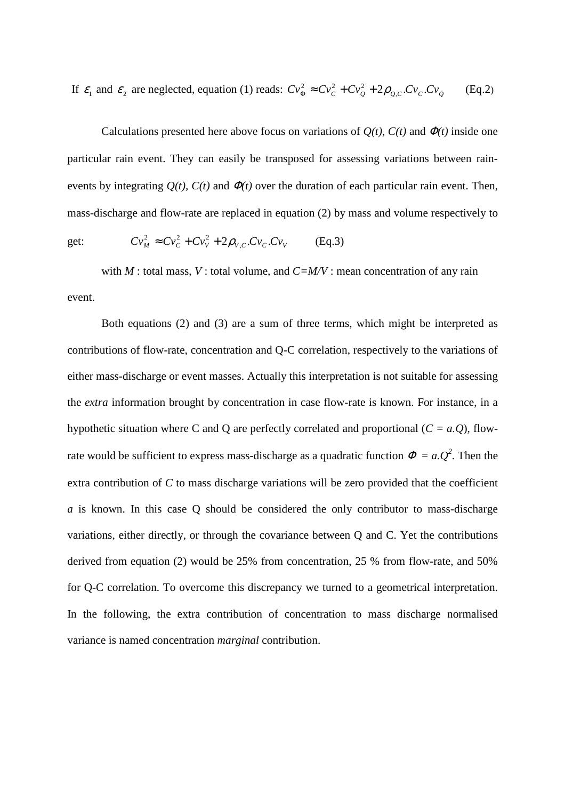If  $\varepsilon_1$  and  $\varepsilon_2$  are neglected, equation (1) reads:  $Cv_{\Phi}^2 \approx Cv_C^2 + Cv_Q^2 + 2\rho_{Q,C}.CV_C.Cv_Q$  $^{2}_{\Phi} \approx Cv_{C}^{2} + Cv_{Q}^{2} + 2\rho_{Q,C}.CV_{C}.CV_{Q}$  (Eq.2)

Calculations presented here above focus on variations of  $Q(t)$ ,  $C(t)$  and  $\Phi(t)$  inside one particular rain event. They can easily be transposed for assessing variations between rainevents by integrating  $Q(t)$ ,  $C(t)$  and  $\Phi(t)$  over the duration of each particular rain event. Then, mass-discharge and flow-rate are replaced in equation (2) by mass and volume respectively to

get: 
$$
Cv_M^2 \approx Cv_C^2 + Cv_V^2 + 2\rho_{V,C}.Cv_C.Cv_V
$$
 (Eq.3)

with *M* : total mass, *V* : total volume, and *C=M/V* : mean concentration of any rain event.

Both equations (2) and (3) are a sum of three terms, which might be interpreted as contributions of flow-rate, concentration and Q-C correlation, respectively to the variations of either mass-discharge or event masses. Actually this interpretation is not suitable for assessing the *extra* information brought by concentration in case flow-rate is known. For instance, in a hypothetic situation where C and Q are perfectly correlated and proportional (*C = a.Q*), flowrate would be sufficient to express mass-discharge as a quadratic function  $\Phi = a \cdot Q^2$ . Then the extra contribution of *C* to mass discharge variations will be zero provided that the coefficient *a* is known. In this case Q should be considered the only contributor to mass-discharge variations, either directly, or through the covariance between Q and C. Yet the contributions derived from equation (2) would be 25% from concentration, 25 % from flow-rate, and 50% for Q-C correlation. To overcome this discrepancy we turned to a geometrical interpretation. In the following, the extra contribution of concentration to mass discharge normalised variance is named concentration *marginal* contribution.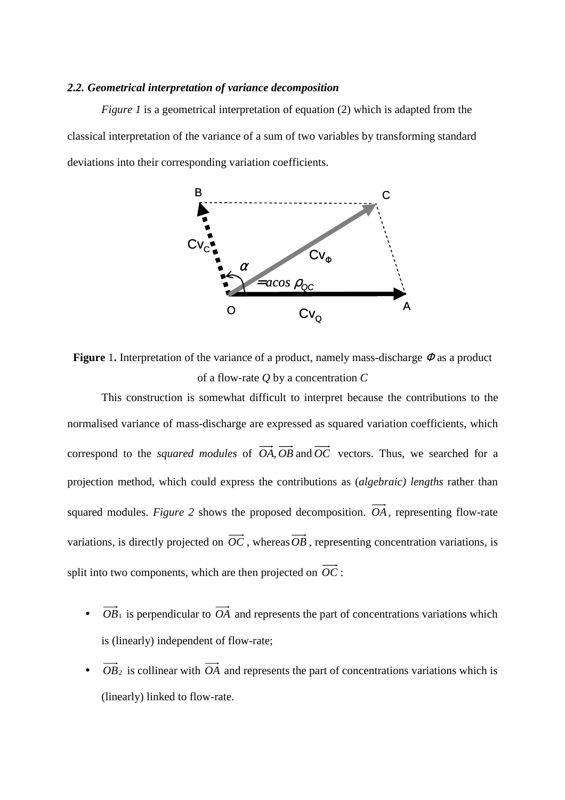## *2.2. Geometrical interpretation of variance decomposition*

*Figure 1* is a geometrical interpretation of equation (2) which is adapted from the classical interpretation of the variance of a sum of two variables by transforming standard deviations into their corresponding variation coefficients.



**Figure** 1**.** Interpretation of the variance of a product, namely mass-discharge Φ as a product of a flow-rate *Q* by a concentration *C*

This construction is somewhat difficult to interpret because the contributions to the normalised variance of mass-discharge are expressed as squared variation coefficients, which correspond to the *squared modules* of  $\overrightarrow{OA}, \overrightarrow{OB}$  and  $\overrightarrow{OC}$  vectors. Thus, we searched for a projection method, which could express the contributions as (*algebraic) lengths* rather than squared modules. *Figure 2* shows the proposed decomposition. *OA*, representing flow-rate variations, is directly projected on  $\overrightarrow{OC}$ , whereas  $\overrightarrow{OB}$ , representing concentration variations, is split into two components, which are then projected on  $\overrightarrow{OC}$ :

- $\overrightarrow{OB_1}$  is perpendicular to  $\overrightarrow{OA}$  and represents the part of concentrations variations which is (linearly) independent of flow-rate;
- $\overrightarrow{OB}_2$  is collinear with  $\overrightarrow{OA}$  and represents the part of concentrations variations which is (linearly) linked to flow-rate.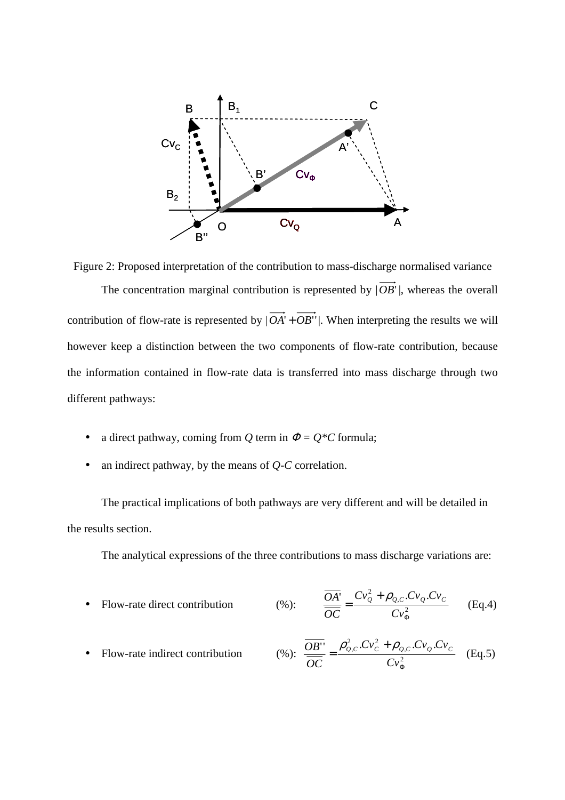

Figure 2: Proposed interpretation of the contribution to mass-discharge normalised variance The concentration marginal contribution is represented by  $|\overrightarrow{OB}|$ , whereas the overall contribution of flow-rate is represented by  $|\overrightarrow{OA} + \overrightarrow{OB}$ ". When interpreting the results we will however keep a distinction between the two components of flow-rate contribution, because the information contained in flow-rate data is transferred into mass discharge through two different pathways:

- a direct pathway, coming from *Q* term in  $\Phi = Q^*C$  formula;
- an indirect pathway, by the means of *Q-C* correlation.

The practical implications of both pathways are very different and will be detailed in the results section.

The analytical expressions of the three contributions to mass discharge variations are:

• Flow-rate direct contribution 
$$
\frac{\overline{OA}'}{\overline{OC}} = \frac{Cv_0^2 + \rho_{Q,C}.Cv_Q.Cv_C}{Cv_{\Phi}^2}
$$
 (Eq.4)

• Flow-rate indirect contribution 
$$
\text{(%): } \frac{\overline{OB'}}{\overline{OC}} = \frac{\rho_{Q,C}^2 . C v_C^2 + \rho_{Q,C} . C v_Q . C v_C}{C v_{\Phi}^2} \quad \text{(Eq.5)}
$$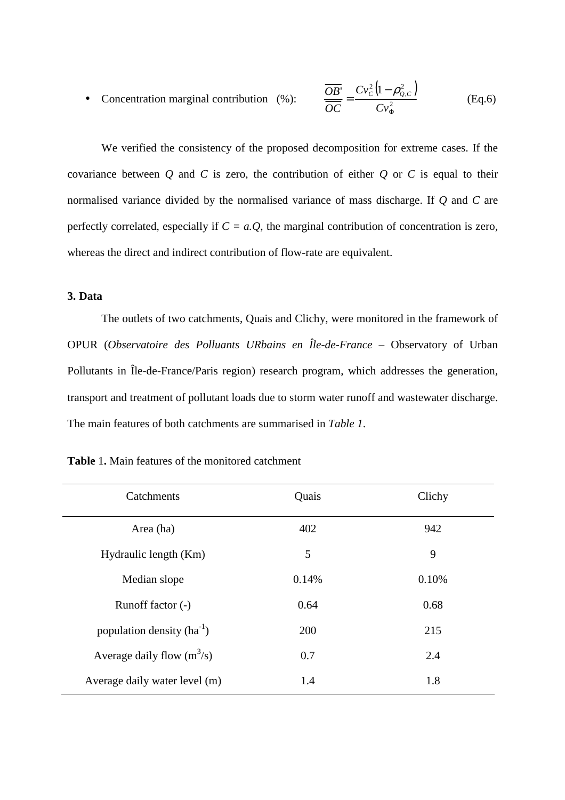• Concentration marginal contribution (%):  $(1-\rho_{o.c}^2)$ 2 2 ,  $\int_{c}^{1} C v_c^2$ Φ − = *Cv Cv OC*  $OB'$   $CV_c^2$   $(1 - \rho_{Q,C}^2)$ (Eq.6)

We verified the consistency of the proposed decomposition for extreme cases. If the covariance between  $Q$  and  $C$  is zero, the contribution of either  $Q$  or  $C$  is equal to their normalised variance divided by the normalised variance of mass discharge. If *Q* and *C* are perfectly correlated, especially if  $C = a \cdot Q$ , the marginal contribution of concentration is zero, whereas the direct and indirect contribution of flow-rate are equivalent.

# **3. Data**

The outlets of two catchments, Quais and Clichy, were monitored in the framework of OPUR (*Observatoire des Polluants URbains en Île-de-France* – Observatory of Urban Pollutants in Île-de-France/Paris region) research program, which addresses the generation, transport and treatment of pollutant loads due to storm water runoff and wastewater discharge. The main features of both catchments are summarised in *Table 1*.

| Catchments                     | Quais | Clichy |
|--------------------------------|-------|--------|
| Area (ha)                      | 402   | 942    |
| Hydraulic length (Km)          | 5     | 9      |
| Median slope                   | 0.14% | 0.10%  |
| Runoff factor (-)              | 0.64  | 0.68   |
| population density $(ha^{-1})$ | 200   | 215    |
| Average daily flow $(m^3/s)$   | 0.7   | 2.4    |
| Average daily water level (m)  | 1.4   | 1.8    |

**Table** 1**.** Main features of the monitored catchment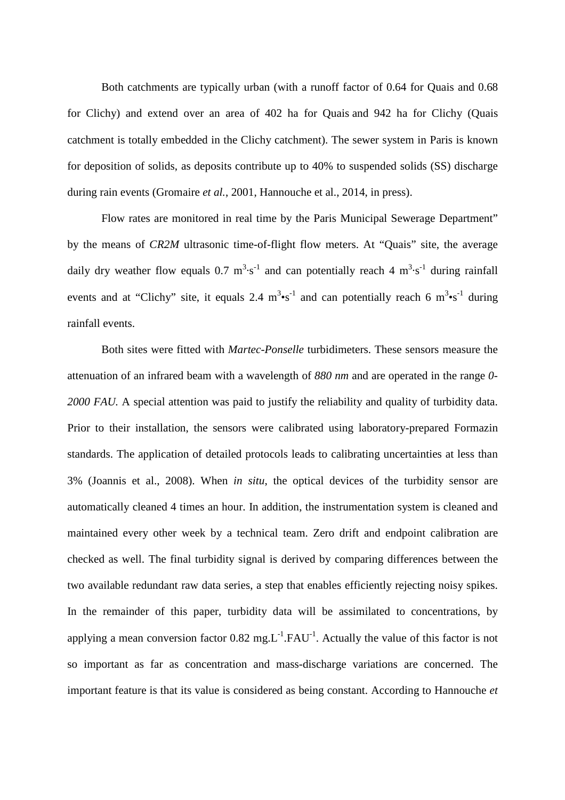Both catchments are typically urban (with a runoff factor of 0.64 for Quais and 0.68 for Clichy) and extend over an area of 402 ha for Quais and 942 ha for Clichy (Quais catchment is totally embedded in the Clichy catchment). The sewer system in Paris is known for deposition of solids, as deposits contribute up to 40% to suspended solids (SS) discharge during rain events (Gromaire *et al.*, 2001, Hannouche et al., 2014, in press).

Flow rates are monitored in real time by the Paris Municipal Sewerage Department" by the means of *CR2M* ultrasonic time-of-flight flow meters. At "Quais" site, the average daily dry weather flow equals 0.7  $m^3 \cdot s^{-1}$  and can potentially reach 4  $m^3 \cdot s^{-1}$  during rainfall events and at "Clichy" site, it equals 2.4  $m^3 \cdot s^{-1}$  and can potentially reach 6  $m^3 \cdot s^{-1}$  during rainfall events.

Both sites were fitted with *Martec-Ponselle* turbidimeters. These sensors measure the attenuation of an infrared beam with a wavelength of *880 nm* and are operated in the range *0- 2000 FAU.* A special attention was paid to justify the reliability and quality of turbidity data. Prior to their installation, the sensors were calibrated using laboratory-prepared Formazin standards. The application of detailed protocols leads to calibrating uncertainties at less than 3% (Joannis et al., 2008). When *in situ*, the optical devices of the turbidity sensor are automatically cleaned 4 times an hour. In addition, the instrumentation system is cleaned and maintained every other week by a technical team. Zero drift and endpoint calibration are checked as well. The final turbidity signal is derived by comparing differences between the two available redundant raw data series, a step that enables efficiently rejecting noisy spikes. In the remainder of this paper, turbidity data will be assimilated to concentrations, by applying a mean conversion factor  $0.82 \text{ mg}$ .  $L^{-1}$ . FAU<sup>-1</sup>. Actually the value of this factor is not so important as far as concentration and mass-discharge variations are concerned. The important feature is that its value is considered as being constant. According to Hannouche *et*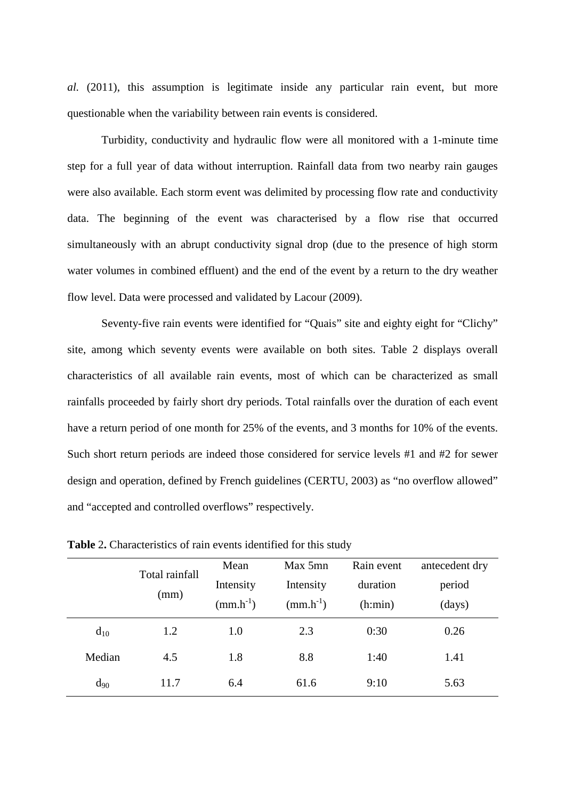*al.* (2011), this assumption is legitimate inside any particular rain event, but more questionable when the variability between rain events is considered.

Turbidity, conductivity and hydraulic flow were all monitored with a 1-minute time step for a full year of data without interruption. Rainfall data from two nearby rain gauges were also available. Each storm event was delimited by processing flow rate and conductivity data. The beginning of the event was characterised by a flow rise that occurred simultaneously with an abrupt conductivity signal drop (due to the presence of high storm water volumes in combined effluent) and the end of the event by a return to the dry weather flow level. Data were processed and validated by Lacour (2009).

Seventy-five rain events were identified for "Quais" site and eighty eight for "Clichy" site, among which seventy events were available on both sites. Table 2 displays overall characteristics of all available rain events, most of which can be characterized as small rainfalls proceeded by fairly short dry periods. Total rainfalls over the duration of each event have a return period of one month for 25% of the events, and 3 months for 10% of the events. Such short return periods are indeed those considered for service levels #1 and #2 for sewer design and operation, defined by French guidelines (CERTU, 2003) as "no overflow allowed" and "accepted and controlled overflows" respectively.

|          | Total rainfall<br>(mm) | Mean<br>Intensity<br>$(mm.h^{-1})$ | Max 5mn<br>Intensity<br>$(mm.h^{-1})$ | Rain event<br>duration<br>(h:min) | antecedent dry<br>period<br>(days) |
|----------|------------------------|------------------------------------|---------------------------------------|-----------------------------------|------------------------------------|
| $d_{10}$ | 1.2                    | 1.0                                | 2.3                                   | 0:30                              | 0.26                               |
| Median   | 4.5                    | 1.8                                | 8.8                                   | 1:40                              | 1.41                               |
| $d_{90}$ | 11.7                   | 6.4                                | 61.6                                  | 9:10                              | 5.63                               |

**Table** 2**.** Characteristics of rain events identified for this study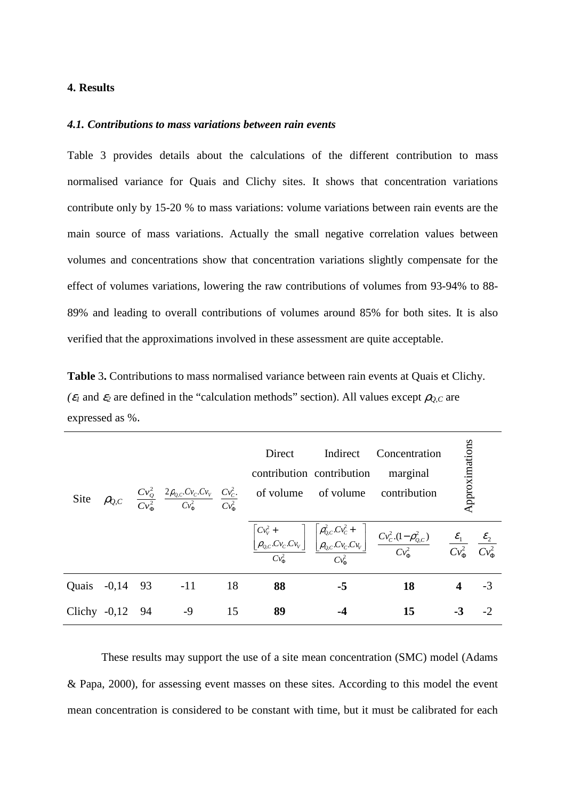# **4. Results**

## *4.1. Contributions to mass variations between rain events*

Table 3 provides details about the calculations of the different contribution to mass normalised variance for Quais and Clichy sites. It shows that concentration variations contribute only by 15-20 % to mass variations: volume variations between rain events are the main source of mass variations. Actually the small negative correlation values between volumes and concentrations show that concentration variations slightly compensate for the effect of volumes variations, lowering the raw contributions of volumes from 93-94% to 88- 89% and leading to overall contributions of volumes around 85% for both sites. It is also verified that the approximations involved in these assessment are quite acceptable.

**Table** 3**.** Contributions to mass normalised variance between rain events at Quais et Clichy.  $(\varepsilon_1)$  and  $\varepsilon_2$  are defined in the "calculation methods" section). All values except  $\rho_{0,C}$  are expressed as %.

|                 |  |                       | Direct | Indirect Concentration<br>contribution contribution<br>marginal<br>Site $\rho_{Q,C}$ $\frac{Cv_Q^2}{Cv^2}$ $\frac{2\rho_{Q,C}Cv_C.Cv_V}{Cv^2}$ $\frac{Cv_C^2}{Cv^2}$ of volume of volume contribution |                                                                                                                                                                                                                                                                                                                                                                                     | Approximations |  |
|-----------------|--|-----------------------|--------|-------------------------------------------------------------------------------------------------------------------------------------------------------------------------------------------------------|-------------------------------------------------------------------------------------------------------------------------------------------------------------------------------------------------------------------------------------------------------------------------------------------------------------------------------------------------------------------------------------|----------------|--|
|                 |  |                       |        |                                                                                                                                                                                                       | $\left[\begin{array}{c} Cv_{v}^{2} + \\ \hline \rho_{Q,C}.Cv_{C}.Cv_{v} \end{array}\right] \left[\begin{array}{c} \rho_{Q,C}^{2}.Cv_{C}^{2} + \\ \hline \rho_{Q,C}.Cv_{C}.Cv_{v} \end{array}\right] \left[\begin{array}{c} Cv_{C}^{2}.(1-\rho_{Q,C}^{2}) \\ \hline \rho_{Q}^{2} \end{array}\right] = \frac{\mathcal{E}_{1}}{CV_{\Phi}^{2}} = \frac{\mathcal{E}_{2}}{CV_{\Phi}^{2}}$ |                |  |
|                 |  | Quais -0,14 93 -11 18 | 88     | $-5$                                                                                                                                                                                                  | 18                                                                                                                                                                                                                                                                                                                                                                                  | $4 - 3$        |  |
| Clichy -0,12 94 |  | $-9$ 15               | 89     |                                                                                                                                                                                                       | 15                                                                                                                                                                                                                                                                                                                                                                                  | $-3$ $-2$      |  |

These results may support the use of a site mean concentration (SMC) model (Adams & Papa, 2000), for assessing event masses on these sites. According to this model the event mean concentration is considered to be constant with time, but it must be calibrated for each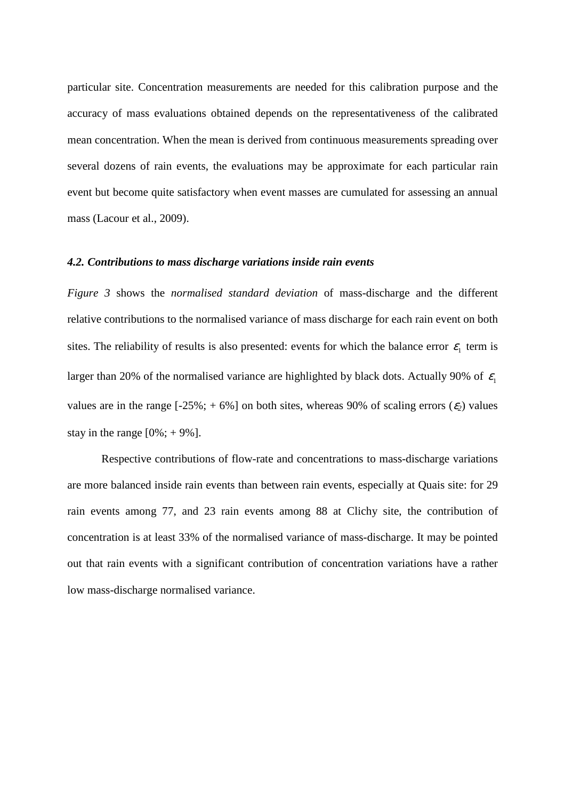particular site. Concentration measurements are needed for this calibration purpose and the accuracy of mass evaluations obtained depends on the representativeness of the calibrated mean concentration. When the mean is derived from continuous measurements spreading over several dozens of rain events, the evaluations may be approximate for each particular rain event but become quite satisfactory when event masses are cumulated for assessing an annual mass (Lacour et al., 2009).

# *4.2. Contributions to mass discharge variations inside rain events*

*Figure 3* shows the *normalised standard deviation* of mass-discharge and the different relative contributions to the normalised variance of mass discharge for each rain event on both sites. The reliability of results is also presented: events for which the balance error  $\varepsilon_1$  term is larger than 20% of the normalised variance are highlighted by black dots. Actually 90% of  $\varepsilon_1$ values are in the range  $[-25\%; +6\%]$  on both sites, whereas 90% of scaling errors  $(\varepsilon_2)$  values stay in the range  $[0\%; +9\%]$ .

Respective contributions of flow-rate and concentrations to mass-discharge variations are more balanced inside rain events than between rain events, especially at Quais site: for 29 rain events among 77, and 23 rain events among 88 at Clichy site, the contribution of concentration is at least 33% of the normalised variance of mass-discharge. It may be pointed out that rain events with a significant contribution of concentration variations have a rather low mass-discharge normalised variance.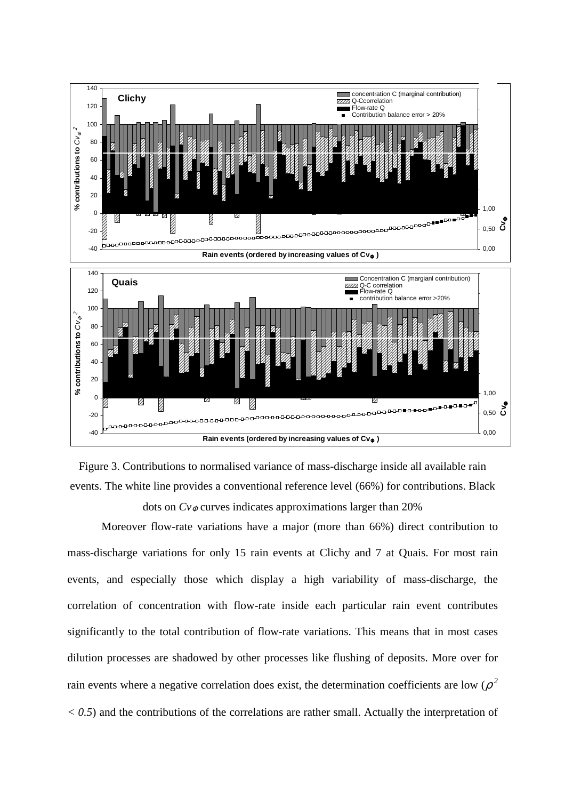



Moreover flow-rate variations have a major (more than 66%) direct contribution to mass-discharge variations for only 15 rain events at Clichy and 7 at Quais. For most rain events, and especially those which display a high variability of mass-discharge, the correlation of concentration with flow-rate inside each particular rain event contributes significantly to the total contribution of flow-rate variations. This means that in most cases dilution processes are shadowed by other processes like flushing of deposits. More over for rain events where a negative correlation does exist, the determination coefficients are low  $(\rho^2)$ *< 0.5*) and the contributions of the correlations are rather small. Actually the interpretation of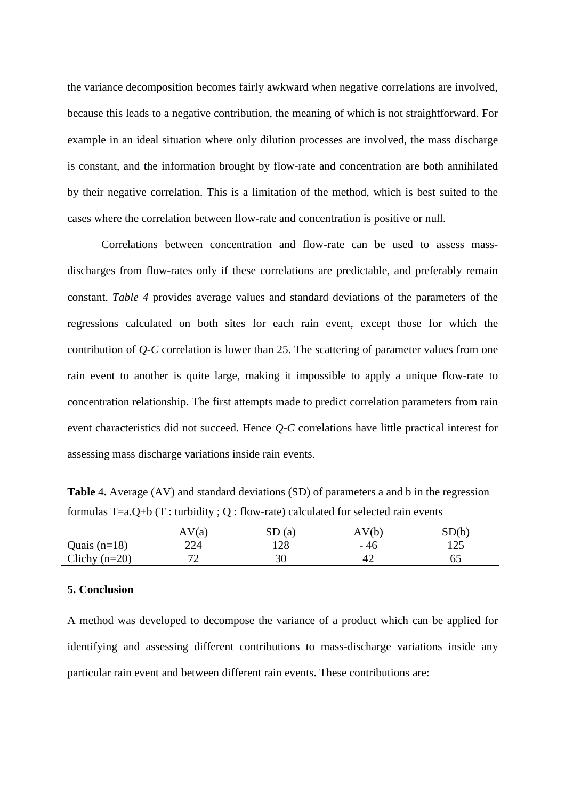the variance decomposition becomes fairly awkward when negative correlations are involved, because this leads to a negative contribution, the meaning of which is not straightforward. For example in an ideal situation where only dilution processes are involved, the mass discharge is constant, and the information brought by flow-rate and concentration are both annihilated by their negative correlation. This is a limitation of the method, which is best suited to the cases where the correlation between flow-rate and concentration is positive or null.

Correlations between concentration and flow-rate can be used to assess massdischarges from flow-rates only if these correlations are predictable, and preferably remain constant. *Table 4* provides average values and standard deviations of the parameters of the regressions calculated on both sites for each rain event, except those for which the contribution of *Q-C* correlation is lower than 25. The scattering of parameter values from one rain event to another is quite large, making it impossible to apply a unique flow-rate to concentration relationship. The first attempts made to predict correlation parameters from rain event characteristics did not succeed. Hence *Q-C* correlations have little practical interest for assessing mass discharge variations inside rain events.

**Table** 4**.** Average (AV) and standard deviations (SD) of parameters a and b in the regression formulas T=a.Q+b (T : turbidity ; Q : flow-rate) calculated for selected rain events

|                 | (a)<br>AΝ | (a)<br>עט | $\mathcal{L}$ <sub><math>\mathcal{L}</math></sub><br>A | $^{\circ}$ D $^{\prime}$ h<br>ມມ |
|-----------------|-----------|-----------|--------------------------------------------------------|----------------------------------|
| Quais $(n=18)$  | 224       | 128       | - 46                                                   | ۵۲.<br>⊥∠J                       |
| Clichy $(n=20)$ | רי<br>∼   | 30        | 42                                                     | ບບ                               |

# **5. Conclusion**

A method was developed to decompose the variance of a product which can be applied for identifying and assessing different contributions to mass-discharge variations inside any particular rain event and between different rain events. These contributions are: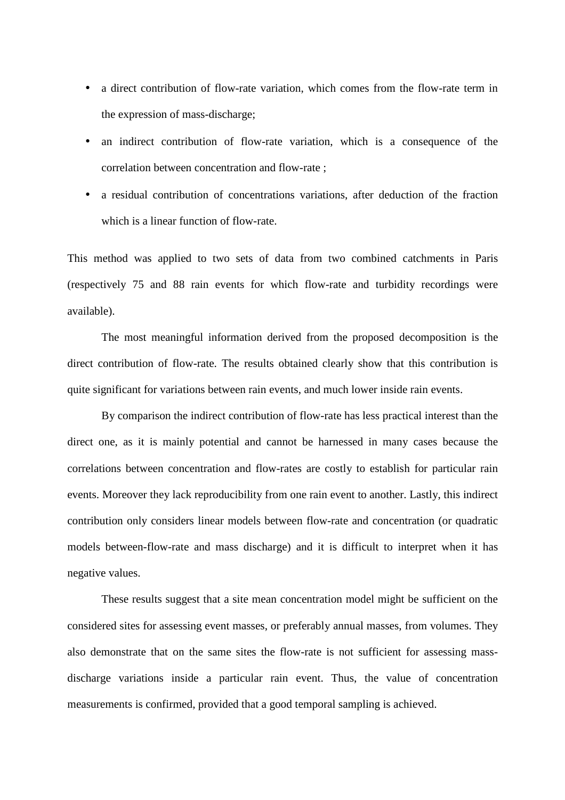- a direct contribution of flow-rate variation, which comes from the flow-rate term in the expression of mass-discharge;
- an indirect contribution of flow-rate variation, which is a consequence of the correlation between concentration and flow-rate ;
- a residual contribution of concentrations variations, after deduction of the fraction which is a linear function of flow-rate.

This method was applied to two sets of data from two combined catchments in Paris (respectively 75 and 88 rain events for which flow-rate and turbidity recordings were available).

The most meaningful information derived from the proposed decomposition is the direct contribution of flow-rate. The results obtained clearly show that this contribution is quite significant for variations between rain events, and much lower inside rain events.

By comparison the indirect contribution of flow-rate has less practical interest than the direct one, as it is mainly potential and cannot be harnessed in many cases because the correlations between concentration and flow-rates are costly to establish for particular rain events. Moreover they lack reproducibility from one rain event to another. Lastly, this indirect contribution only considers linear models between flow-rate and concentration (or quadratic models between-flow-rate and mass discharge) and it is difficult to interpret when it has negative values.

These results suggest that a site mean concentration model might be sufficient on the considered sites for assessing event masses, or preferably annual masses, from volumes. They also demonstrate that on the same sites the flow-rate is not sufficient for assessing massdischarge variations inside a particular rain event. Thus, the value of concentration measurements is confirmed, provided that a good temporal sampling is achieved.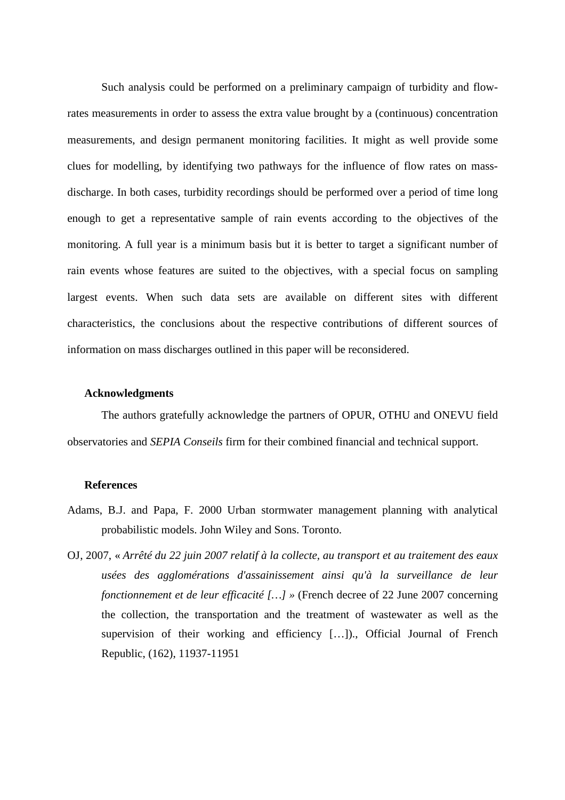Such analysis could be performed on a preliminary campaign of turbidity and flowrates measurements in order to assess the extra value brought by a (continuous) concentration measurements, and design permanent monitoring facilities. It might as well provide some clues for modelling, by identifying two pathways for the influence of flow rates on massdischarge. In both cases, turbidity recordings should be performed over a period of time long enough to get a representative sample of rain events according to the objectives of the monitoring. A full year is a minimum basis but it is better to target a significant number of rain events whose features are suited to the objectives, with a special focus on sampling largest events. When such data sets are available on different sites with different characteristics, the conclusions about the respective contributions of different sources of information on mass discharges outlined in this paper will be reconsidered.

### **Acknowledgments**

The authors gratefully acknowledge the partners of OPUR, OTHU and ONEVU field observatories and *SEPIA Conseils* firm for their combined financial and technical support.

### **References**

- Adams, B.J. and Papa, F. 2000 Urban stormwater management planning with analytical probabilistic models. John Wiley and Sons. Toronto.
- OJ, 2007, « *Arrêté du 22 juin 2007 relatif à la collecte, au transport et au traitement des eaux usées des agglomérations d'assainissement ainsi qu'à la surveillance de leur fonctionnement et de leur efficacité […] »* (French decree of 22 June 2007 concerning the collection, the transportation and the treatment of wastewater as well as the supervision of their working and efficiency […])., Official Journal of French Republic, (162), 11937-11951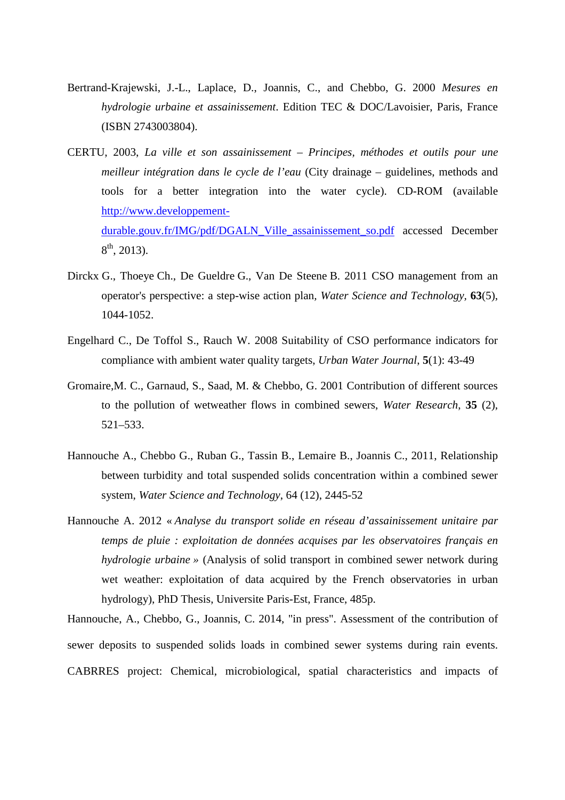- Bertrand-Krajewski, J.-L., Laplace, D., Joannis, C., and Chebbo, G. 2000 *Mesures en hydrologie urbaine et assainissement*. Edition TEC & DOC/Lavoisier, Paris, France (ISBN 2743003804).
- CERTU, 2003, *La ville et son assainissement Principes, méthodes et outils pour une meilleur intégration dans le cycle de l'eau* (City drainage – guidelines, methods and tools for a better integration into the water cycle). CD-ROM (available http://www.developpementdurable.gouv.fr/IMG/pdf/DGALN\_Ville\_assainissement\_so.pdf accessed December  $8^{\text{th}}$ , 2013).
- Dirckx G., Thoeye Ch., De Gueldre G., Van De Steene B. 2011 CSO management from an operator's perspective: a step-wise action plan*, Water Science and Technology,* **63**(5), 1044-1052.
- Engelhard C., De Toffol S., Rauch W. 2008 Suitability of CSO performance indicators for compliance with ambient water quality targets, *Urban Water Journal*, **5**(1): 43-49
- Gromaire,M. C., Garnaud, S., Saad, M. & Chebbo, G. 2001 Contribution of different sources to the pollution of wetweather flows in combined sewers, *Water Research*, **35** (2), 521–533.
- Hannouche A., Chebbo G., Ruban G., Tassin B., Lemaire B., Joannis C., 2011, Relationship between turbidity and total suspended solids concentration within a combined sewer system, *Water Science and Technology*, 64 (12), 2445-52
- Hannouche A. 2012 « *Analyse du transport solide en réseau d'assainissement unitaire par temps de pluie : exploitation de données acquises par les observatoires français en hydrologie urbaine »* (Analysis of solid transport in combined sewer network during wet weather: exploitation of data acquired by the French observatories in urban hydrology), PhD Thesis, Universite Paris-Est, France, 485p.

Hannouche, A., Chebbo, G., Joannis, C. 2014, "in press". Assessment of the contribution of sewer deposits to suspended solids loads in combined sewer systems during rain events. CABRRES project: Chemical, microbiological, spatial characteristics and impacts of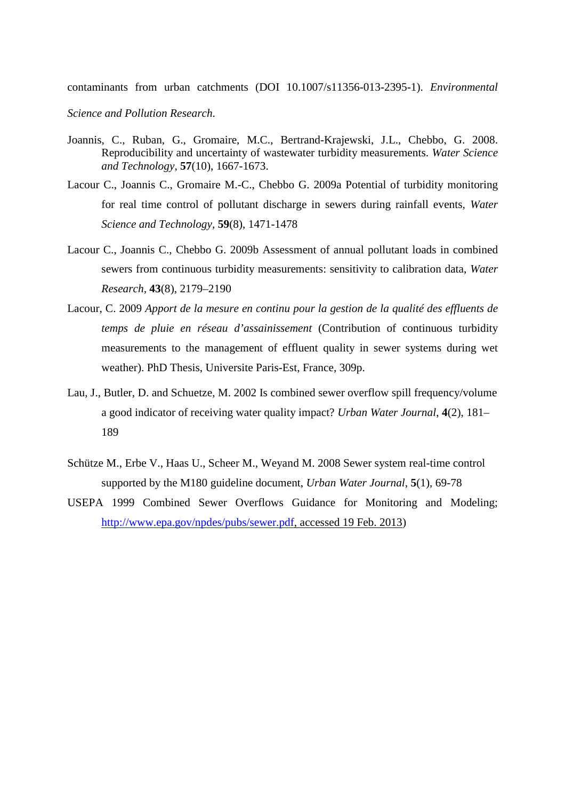contaminants from urban catchments (DOI 10.1007/s11356-013-2395-1). *Environmental* 

*Science and Pollution Research*.

- Joannis, C., Ruban, G., Gromaire, M.C., Bertrand-Krajewski, J.L., Chebbo, G. 2008. Reproducibility and uncertainty of wastewater turbidity measurements. *Water Science and Technology*, **57**(10), 1667-1673.
- Lacour C., Joannis C., Gromaire M.-C., Chebbo G. 2009a Potential of turbidity monitoring for real time control of pollutant discharge in sewers during rainfall events, *Water Science and Technology*, **59**(8), 1471-1478
- Lacour C., Joannis C., Chebbo G. 2009b Assessment of annual pollutant loads in combined sewers from continuous turbidity measurements: sensitivity to calibration data, *Water Research,* **43**(8), 2179–2190
- Lacour, C. 2009 *Apport de la mesure en continu pour la gestion de la qualité des effluents de temps de pluie en réseau d'assainissement* (Contribution of continuous turbidity measurements to the management of effluent quality in sewer systems during wet weather). PhD Thesis, Universite Paris-Est, France, 309p.
- Lau, J., Butler, D. and Schuetze, M. 2002 Is combined sewer overflow spill frequency/volume a good indicator of receiving water quality impact? *Urban Water Journal*, **4**(2), 181– 189
- Schütze M., Erbe V., Haas U., Scheer M., Weyand M. 2008 Sewer system real-time control supported by the M180 guideline document, *Urban Water Journal*, **5**(1), 69-78
- USEPA 1999 Combined Sewer Overflows Guidance for Monitoring and Modeling; http://www.epa.gov/npdes/pubs/sewer.pdf, accessed 19 Feb. 2013)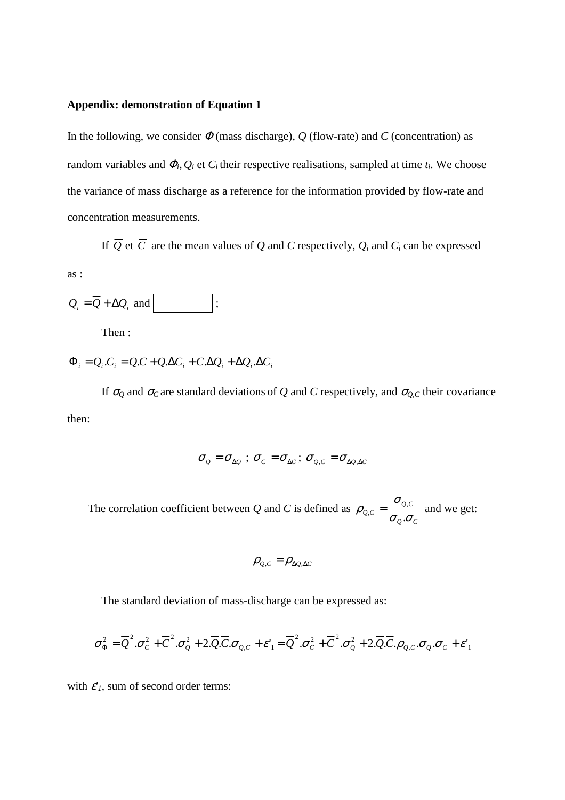# **Appendix: demonstration of Equation 1**

In the following, we consider  $\Phi$  (mass discharge),  $Q$  (flow-rate) and  $C$  (concentration) as random variables and  $\Phi_i$ ,  $Q_i$  et  $C_i$  their respective realisations, sampled at time  $t_i$ . We choose the variance of mass discharge as a reference for the information provided by flow-rate and concentration measurements.

If  $Q$  et  $C$  are the mean values of  $Q$  and  $C$  respectively,  $Q_i$  and  $C_i$  can be expressed

as :

$$
Q_i = \overline{Q} + \Delta Q_i \text{ and } \boxed{\qquad ;}
$$

Then :

 $\Phi_i = Q_i.C_i = Q.C + Q.\Delta C_i + C.\Delta Q_i + \Delta Q_i.\Delta C_i$ 

If  $\sigma_Q$  and  $\sigma_C$  are standard deviations of *Q* and *C* respectively, and  $\sigma_{Q,C}$  their covariance then:

$$
\sigma_{\varrho} = \sigma_{\Delta\varrho} \, ; \, \sigma_{\varrho} = \sigma_{\Delta\varrho} \, ; \, \sigma_{\varrho,c} = \sigma_{\Delta\varrho,\Delta\varrho}
$$

The correlation coefficient between *Q* and *C* is defined as *Q C Q C Q C* σ σ σ  $\rho_{\varrho,c} = \frac{\varepsilon}{\sigma_o}$ .  $_{,c} = \frac{U_{Q,C}}{I}$  and we get:

$$
\rho_{Q,C} = \rho_{\Delta Q,\Delta C}
$$

The standard deviation of mass-discharge can be expressed as:

$$
\sigma_{\Phi}^2 = \overline{Q}^2 \cdot \sigma_{C}^2 + \overline{C}^2 \cdot \sigma_{Q}^2 + 2 \cdot \overline{Q} \cdot \overline{C} \cdot \sigma_{Q,C} + \varepsilon_{1}^2 = \overline{Q}^2 \cdot \sigma_{C}^2 + \overline{C}^2 \cdot \sigma_{Q}^2 + 2 \cdot \overline{Q} \cdot \overline{C} \cdot \rho_{Q,C} \cdot \sigma_{Q} \cdot \sigma_{C} + \varepsilon_{1}^2
$$

with  $\varepsilon'$ <sup>*I*</sup>, sum of second order terms: